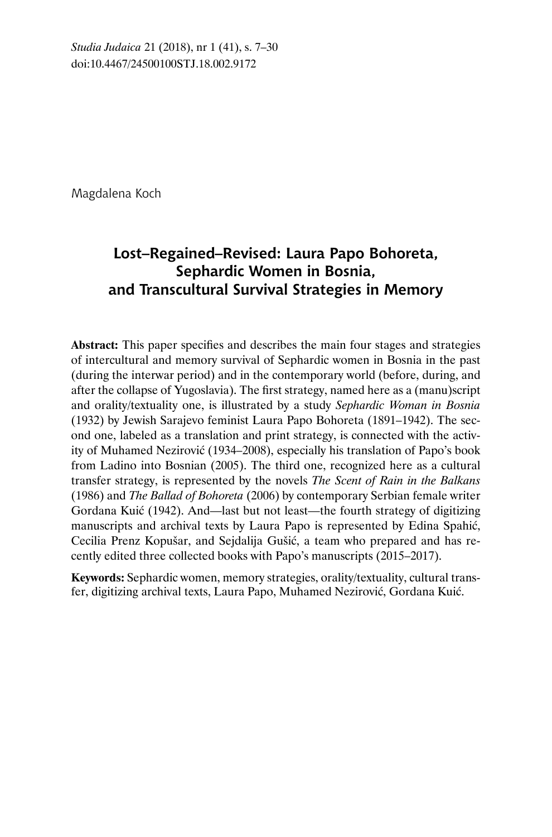Magdalena Koch

# **Lost–Regained–Revised: Laura Papo Bohoreta, Sephardic Women in Bosnia, and Transcultural Survival Strategies in Memory**

**Abstract:** This paper specifies and describes the main four stages and strategies of intercultural and memory survival of Sephardic women in Bosnia in the past (during the interwar period) and in the contemporary world (before, during, and after the collapse of Yugoslavia). The first strategy, named here as a (manu)script and orality/textuality one, is illustrated by a study *Sephardic Woman in Bosnia* (1932) by Jewish Sarajevo feminist Laura Papo Bohoreta (1891–1942). The second one, labeled as a translation and print strategy, is connected with the activity of Muhamed Nezirović (1934–2008), especially his translation of Papo's book from Ladino into Bosnian (2005). The third one, recognized here as a cultural transfer strategy, is represented by the novels *The Scent of Rain in the Balkans*  (1986) and *The Ballad of Bohoreta* (2006) by contemporary Serbian female writer Gordana Kuić (1942). And—last but not least—the fourth strategy of digitizing manuscripts and archival texts by Laura Papo is represented by Edina Spahić, Cecilia Prenz Kopušar, and Sejdalija Gušić, a team who prepared and has recently edited three collected books with Papo's manuscripts (2015–2017).

**Keywords:** Sephardic women, memory strategies, orality/textuality, cultural transfer, digitizing archival texts, Laura Papo, Muhamed Nezirović, Gordana Kuić.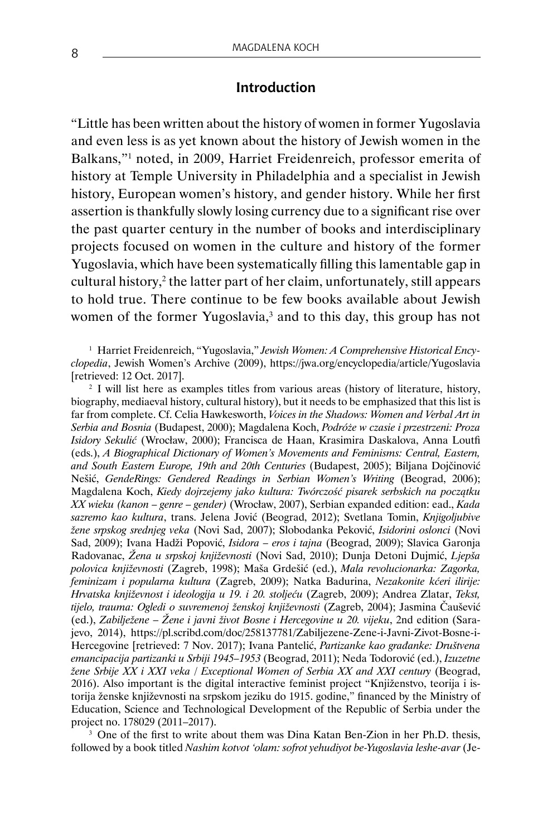### **Introduction**

"Little has been written about the history of women in former Yugoslavia and even less is as yet known about the history of Jewish women in the Balkans,"<sup>1</sup> noted, in 2009, Harriet Freidenreich, professor emerita of history at Temple University in Philadelphia and a specialist in Jewish history, European women's history, and gender history. While her first assertion is thankfully slowly losing currency due to a significant rise over the past quarter century in the number of books and interdisciplinary projects focused on women in the culture and history of the former Yugoslavia, which have been systematically filling this lamentable gap in cultural history,<sup>2</sup> the latter part of her claim, unfortunately, still appears to hold true. There continue to be few books available about Jewish women of the former Yugoslavia,<sup>3</sup> and to this day, this group has not

<sup>1</sup> Harriet Freidenreich, "Yugoslavia," Jewish Women: A Comprehensive Historical Ency*clopedia*, Jewish Women's Archive (2009), https://jwa.org/encyclopedia/article/Yugoslavia [retrieved: 12 Oct. 2017].

<sup>2</sup> I will list here as examples titles from various areas (history of literature, history, biography, mediaeval history, cultural history), but it needs to be emphasized that this list is far from complete. Cf. Celia Hawkesworth, *Voices in the Shadows: Women and Verbal Art in Serbia and Bosnia* (Budapest, 2000); Magdalena Koch, *Podróże w czasie i przestrzeni: Proza Isidory Sekulić* (Wrocław, 2000); Francisca de Haan, Krasimira Daskalova, Anna Loutfi (eds.), *A Biographical Dictionary of Women's Movements and Feminisms: Central, Eastern, and South Eastern Europe, 19th and 20th Centuries* (Budapest, 2005); Biljana Dojčinović Nešić, *GendeRings: Gendered Readings in Serbian Women's Writing* (Beograd, 2006); Magdalena Koch, *Kiedy dojrzejemy jako kultura: Twórczość pisarek serbskich na początku XX wieku (kanon – genre – gender)* (Wrocław, 2007), Serbian expanded edition: ead., *Kada sazremo kao kultura*, trans. Jelena Jović (Beograd, 2012); Svetlana Tomin, *Knjigoljubive žene srpskog srednjeg veka* (Novi Sad, 2007); Slobodanka Peković, *Isidorini oslonci* (Novi Sad, 2009); Ivana Hadži Popović, *Isidora – eros i tajna* (Beograd, 2009); Slavica Garonja Radovanac, *Žena u srpskoj književnosti* (Novi Sad, 2010); Dunja Detoni Dujmić, *Ljepša polovica književnosti* (Zagreb, 1998); Maša Grdešić (ed.), *Mala revolucionarka: Zagorka, feminizam i popularna kultura* (Zagreb, 2009); Natka Badurina, *Nezakonite kćeri ilirije: Hrvatska književnost i ideologija u 19. i 20. stoljeću* (Zagreb, 2009); Andrea Zlatar, *Tekst, tijelo, trauma: Ogledi o suvremenoj ženskoj književnosti* (Zagreb, 2004); Jasmina Čaušević (ed.), *Zabilježene* – *Žene i javni život Bosne i Hercegovine u 20. vijeku*, 2nd edition (Sarajevo, 2014), https://pl.scribd.com/doc/258137781/Zabiljezene-Zene-i-Javni-Zivot-Bosne-i-Hercegovine [retrieved: 7 Nov. 2017); Ivana Pantelić, *Partizanke kao građanke: Društvena emancipacija partizanki u Srbiji 1945–1953* (Beograd, 2011); Neda Todorović (ed.), *Izuzetne žene Srbije XX i XXI veka / Exceptional Women of Serbia XX and XXI century* (Beograd, 2016). Also important is the digital interactive feminist project "Knjiženstvo, teorija i istorija ženske književnosti na srpskom jeziku do 1915. godine," financed by the Ministry of Education, Science and Technological Development of the Republic of Serbia under the project no. 178029 (2011–2017).

<sup>3</sup> One of the first to write about them was Dina Katan Ben-Zion in her Ph.D. thesis, followed by a book titled *Nashim kotvot 'olam: sofrot yehudiyot be-Yugoslavia leshe-avar* (Je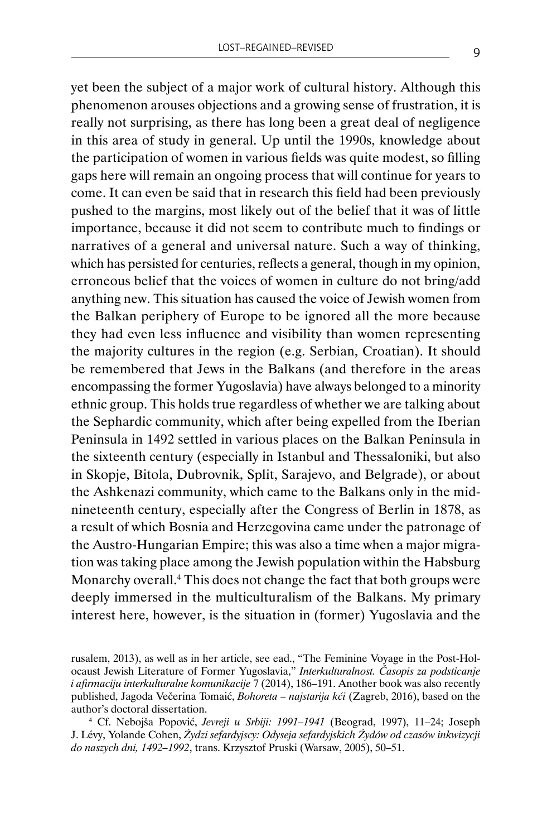yet been the subject of a major work of cultural history. Although this phenomenon arouses objections and a growing sense of frustration, it is really not surprising, as there has long been a great deal of negligence in this area of study in general. Up until the 1990s, knowledge about the participation of women in various fields was quite modest, so filling gaps here will remain an ongoing process that will continue for years to come. It can even be said that in research this field had been previously pushed to the margins, most likely out of the belief that it was of little importance, because it did not seem to contribute much to findings or narratives of a general and universal nature. Such a way of thinking, which has persisted for centuries, reflects a general, though in my opinion, erroneous belief that the voices of women in culture do not bring/add anything new. This situation has caused the voice of Jewish women from the Balkan periphery of Europe to be ignored all the more because they had even less influence and visibility than women representing the majority cultures in the region (e.g. Serbian, Croatian). It should be remembered that Jews in the Balkans (and therefore in the areas encompassing the former Yugoslavia) have always belonged to a minority ethnic group. This holds true regardless of whether we are talking about the Sephardic community, which after being expelled from the Iberian Peninsula in 1492 settled in various places on the Balkan Peninsula in the sixteenth century (especially in Istanbul and Thessaloniki, but also in Skopje, Bitola, Dubrovnik, Split, Sarajevo, and Belgrade), or about the Ashkenazi community, which came to the Balkans only in the midnineteenth century, especially after the Congress of Berlin in 1878, as a result of which Bosnia and Herzegovina came under the patronage of the Austro-Hungarian Empire; this was also a time when a major migration was taking place among the Jewish population within the Habsburg Monarchy overall.<sup>4</sup> This does not change the fact that both groups were deeply immersed in the multiculturalism of the Balkans. My primary interest here, however, is the situation in (former) Yugoslavia and the

rusalem, 2013), as well as in her article, see ead., "The Feminine Voyage in the Post-Holocaust Jewish Literature of Former Yugoslavia," *Interkulturalnost. Časopis za podsticanje i afirmaciju interkulturalne komunikacije* 7 (2014), 186–191. Another book was also recently published, Jagoda Večerina Tomaić, *Bohoreta – najstarija kći* (Zagreb, 2016), based on the author's doctoral dissertation.

<sup>4</sup> Cf. Nebojša Popović, *Jevreji u Srbiji: 1991–1941* (Beograd, 1997), 11–24; Joseph J. Lévy, Yolande Cohen, *Żydzi sefardyjscy: Odyseja sefardyjskich Żydów od czasów inkwizycji do naszych dni, 1492–1992*, trans. Krzysztof Pruski (Warsaw, 2005), 50–51.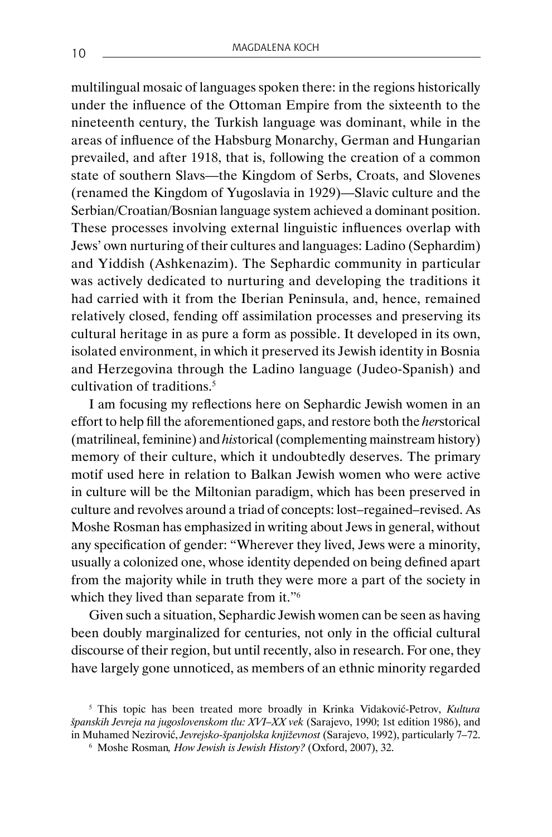multilingual mosaic of languages spoken there: in the regions historically under the influence of the Ottoman Empire from the sixteenth to the nineteenth century, the Turkish language was dominant, while in the areas of influence of the Habsburg Monarchy, German and Hungarian prevailed, and after 1918, that is, following the creation of a common state of southern Slavs—the Kingdom of Serbs, Croats, and Slovenes (renamed the Kingdom of Yugoslavia in 1929)—Slavic culture and the Serbian/Croatian/Bosnian language system achieved a dominant position. These processes involving external linguistic influences overlap with Jews' own nurturing of their cultures and languages: Ladino (Sephardim) and Yiddish (Ashkenazim). The Sephardic community in particular was actively dedicated to nurturing and developing the traditions it had carried with it from the Iberian Peninsula, and, hence, remained relatively closed, fending off assimilation processes and preserving its cultural heritage in as pure a form as possible. It developed in its own, isolated environment, in which it preserved its Jewish identity in Bosnia and Herzegovina through the Ladino language (Judeo-Spanish) and cultivation of traditions.<sup>5</sup>

I am focusing my reflections here on Sephardic Jewish women in an effort to help fill the aforementioned gaps, and restore both the *her*storical (matrilineal, feminine) and *his*torical (complementing mainstream history) memory of their culture, which it undoubtedly deserves. The primary motif used here in relation to Balkan Jewish women who were active in culture will be the Miltonian paradigm, which has been preserved in culture and revolves around a triad of concepts: lost–regained–revised. As Moshe Rosman has emphasized in writing about Jews in general, without any specification of gender: "Wherever they lived, Jews were a minority, usually a colonized one, whose identity depended on being defined apart from the majority while in truth they were more a part of the society in which they lived than separate from it."<sup>6</sup>

Given such a situation, Sephardic Jewish women can be seen as having been doubly marginalized for centuries, not only in the official cultural discourse of their region, but until recently, also in research. For one, they have largely gone unnoticed, as members of an ethnic minority regarded

<sup>5</sup> This topic has been treated more broadly in Krinka Vidaković-Petrov, *Kultura španskih Jevreja na jugoslovenskom tlu: XVI–XX vek* (Sarajevo, 1990; 1st edition 1986), and in Muhamed Nezirović, *Jevrejsko-španjolska književnost* (Sarajevo, 1992), particularly 7–72. <sup>6</sup> Moshe Rosman*, How Jewish is Jewish History?* (Oxford, 2007), 32.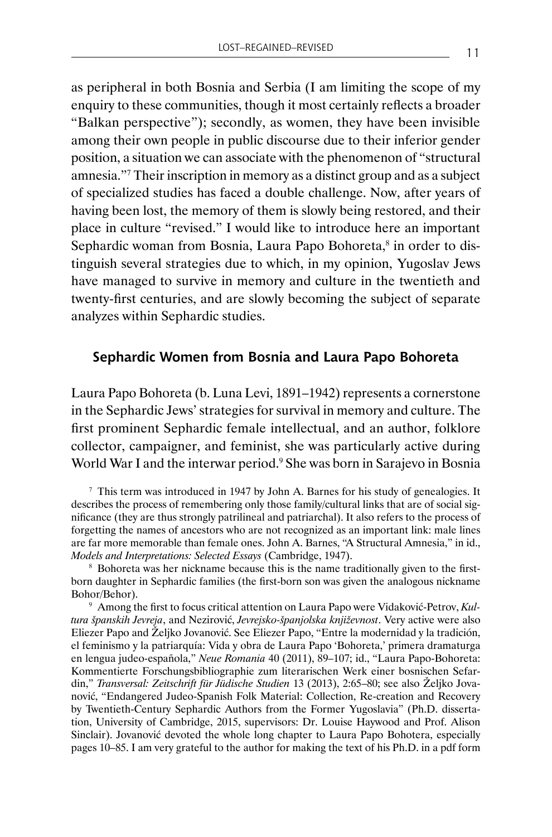as peripheral in both Bosnia and Serbia (I am limiting the scope of my enquiry to these communities, though it most certainly reflects a broader "Balkan perspective"); secondly, as women, they have been invisible among their own people in public discourse due to their inferior gender position, a situation we can associate with the phenomenon of "structural amnesia."<sup>7</sup> Their inscription in memory as a distinct group and as a subject of specialized studies has faced a double challenge. Now, after years of having been lost, the memory of them is slowly being restored, and their place in culture "revised." I would like to introduce here an important Sephardic woman from Bosnia, Laura Papo Bohoreta, $^8$  in order to distinguish several strategies due to which, in my opinion, Yugoslav Jews have managed to survive in memory and culture in the twentieth and twenty-first centuries, and are slowly becoming the subject of separate analyzes within Sephardic studies.

#### **Sephardic Women from Bosnia and Laura Papo Bohoreta**

Laura Papo Bohoreta (b. Luna Levi, 1891–1942) represents a cornerstone in the Sephardic Jews' strategies for survival in memory and culture. The first prominent Sephardic female intellectual, and an author, folklore collector, campaigner, and feminist, she was particularly active during World War I and the interwar period.<sup>9</sup> She was born in Sarajevo in Bosnia

<sup>7</sup> This term was introduced in 1947 by John A. Barnes for his study of genealogies. It describes the process of remembering only those family/cultural links that are of social significance (they are thus strongly patrilineal and patriarchal). It also refers to the process of forgetting the names of ancestors who are not recognized as an important link: male lines are far more memorable than female ones. John A. Barnes, "A Structural Amnesia," in id., *Models and Interpretations: Selected Essays* (Cambridge, 1947).

<sup>8</sup> Bohoreta was her nickname because this is the name traditionally given to the firstborn daughter in Sephardic families (the first-born son was given the analogous nickname Bohor/Behor).

<sup>9</sup> Among the first to focus critical attention on Laura Papo were Vidaković-Petrov, *Kultura španskih Jevreja*, and Nezirović, *Jevrejsko-španjolska književnost*. Very active were also Eliezer Papo and Željko Jovanović. See Eliezer Papo, "Entre la modernidad y la tradición, el feminismo y la patriarquía: Vida y obra de Laura Papo 'Bohoreta,' primera dramaturga en lengua judeo-española," *Neue Romania* 40 (2011), 89–107; id., "Laura Papo-Bohoreta: Kommentierte Forschungsbibliographie zum literarischen Werk einer bosnischen Sefardin," *Transversal: Zeitschrift für Jüdische Studien* 13 (2013), 2:65–80; see also Željko Jovanović, "Endangered Judeo-Spanish Folk Material: Collection, Re-creation and Recovery by Twentieth-Century Sephardic Authors from the Former Yugoslavia" (Ph.D. dissertation, University of Cambridge, 2015, supervisors: Dr. Louise Haywood and Prof. Alison Sinclair). Jovanović devoted the whole long chapter to Laura Papo Bohotera, especially pages 10–85. I am very grateful to the author for making the text of his Ph.D. in a pdf form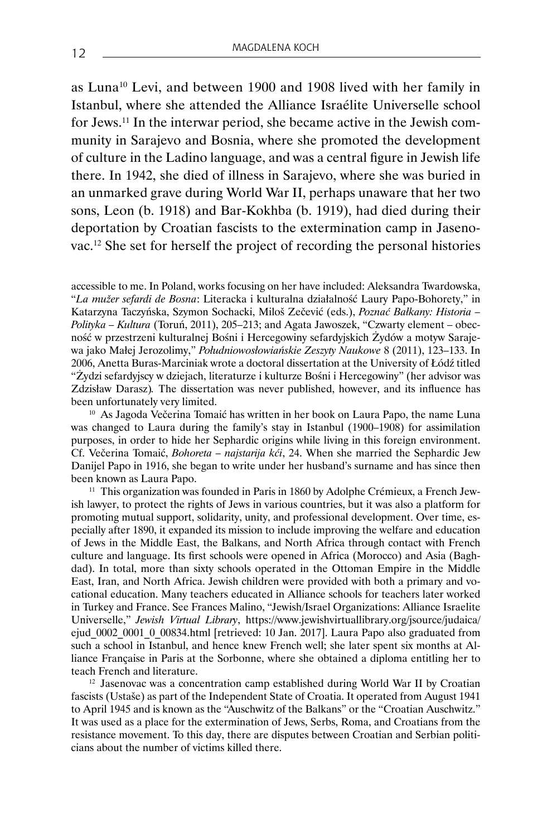as Luna<sup>10</sup> Levi, and between 1900 and 1908 lived with her family in Istanbul, where she attended the Alliance Israélite Universelle school for Jews.11 In the interwar period, she became active in the Jewish community in Sarajevo and Bosnia, where she promoted the development of culture in the Ladino language, and was a central figure in Jewish life there. In 1942, she died of illness in Sarajevo, where she was buried in an unmarked grave during World War II, perhaps unaware that her two sons, Leon (b. 1918) and Bar-Kokhba (b. 1919), had died during their deportation by Croatian fascists to the extermination camp in Jasenovac.12 She set for herself the project of recording the personal histories

accessible to me. In Poland, works focusing on her have included: Aleksandra Twardowska, "*La mužer sefardi de Bosna*: Literacka i kulturalna działalność Laury Papo-Bohorety," in Katarzyna Taczyńska, Szymon Sochacki, Miloš Zečević (eds.), *Poznać Bałkany: Historia – Polityka – Kultura* (Toruń, 2011), 205–213; and Agata Jawoszek, "Czwarty element – obecność w przestrzeni kulturalnej Bośni i Hercegowiny sefardyjskich Żydów a motyw Sarajewa jako Małej Jerozolimy," *Południowosłowiańskie Zeszyty Naukowe* 8 (2011), 123–133. In 2006, Anetta Buras-Marciniak wrote a doctoral dissertation at the University of Łódź titled "Żydzi sefardyjscy w dziejach, literaturze i kulturze Bośni i Hercegowiny" (her advisor was Zdzisław Darasz)*.* The dissertation was never published, however, and its influence has been unfortunately very limited.

<sup>10</sup> As Jagoda Večerina Tomaić has written in her book on Laura Papo, the name Luna was changed to Laura during the family's stay in Istanbul (1900–1908) for assimilation purposes, in order to hide her Sephardic origins while living in this foreign environment. Cf. Večerina Tomaić, *Bohoreta – najstarija kći*, 24. When she married the Sephardic Jew Danijel Papo in 1916, she began to write under her husband's surname and has since then been known as Laura Papo.

<sup>11</sup> This organization was founded in Paris in 1860 by Adolphe Crémieux, a French Jewish lawyer, to protect the rights of Jews in various countries, but it was also a platform for promoting mutual support, solidarity, unity, and professional development. Over time, especially after 1890, it expanded its mission to include improving the welfare and education of Jews in the Middle East, the Balkans, and North Africa through contact with French culture and language. Its first schools were opened in Africa (Morocco) and Asia (Baghdad). In total, more than sixty schools operated in the Ottoman Empire in the Middle East, Iran, and North Africa. Jewish children were provided with both a primary and vocational education. Many teachers educated in Alliance schools for teachers later worked in Turkey and France. See Frances Malino, "Jewish/Israel Organizations: Alliance Israelite Universelle," *Jewish Virtual Library*, https://www.jewishvirtuallibrary.org/jsource/judaica/ ejud\_0002\_0001\_0\_00834.html [retrieved: 10 Jan. 2017]. Laura Papo also graduated from such a school in Istanbul, and hence knew French well; she later spent six months at Alliance Française in Paris at the Sorbonne, where she obtained a diploma entitling her to teach French and literature.

<sup>12</sup> Jasenovac was a concentration camp established during World War II by Croatian fascists (Ustaše) as part of the Independent State of Croatia. It operated from August 1941 to April 1945 and is known as the "Auschwitz of the Balkans" or the "Croatian Auschwitz." It was used as a place for the extermination of Jews, Serbs, Roma, and Croatians from the resistance movement. To this day, there are disputes between Croatian and Serbian politicians about the number of victims killed there.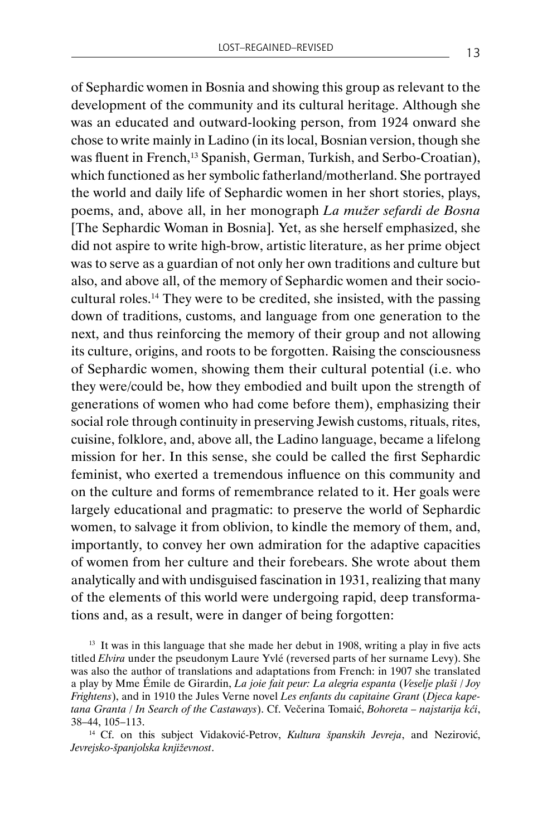of Sephardic women in Bosnia and showing this group as relevant to the development of the community and its cultural heritage. Although she was an educated and outward-looking person, from 1924 onward she chose to write mainly in Ladino (in its local, Bosnian version, though she was fluent in French,<sup>13</sup> Spanish, German, Turkish, and Serbo-Croatian), which functioned as her symbolic fatherland/motherland. She portrayed the world and daily life of Sephardic women in her short stories, plays, poems, and, above all, in her monograph *La mužer sefardi de Bosna*  [The Sephardic Woman in Bosnia]. Yet, as she herself emphasized, she did not aspire to write high-brow, artistic literature, as her prime object was to serve as a guardian of not only her own traditions and culture but also, and above all, of the memory of Sephardic women and their sociocultural roles.14 They were to be credited, she insisted, with the passing down of traditions, customs, and language from one generation to the next, and thus reinforcing the memory of their group and not allowing its culture, origins, and roots to be forgotten. Raising the consciousness of Sephardic women, showing them their cultural potential (i.e. who they were/could be, how they embodied and built upon the strength of generations of women who had come before them), emphasizing their social role through continuity in preserving Jewish customs, rituals, rites, cuisine, folklore, and, above all, the Ladino language, became a lifelong mission for her. In this sense, she could be called the first Sephardic feminist, who exerted a tremendous influence on this community and on the culture and forms of remembrance related to it. Her goals were largely educational and pragmatic: to preserve the world of Sephardic women, to salvage it from oblivion, to kindle the memory of them, and, importantly, to convey her own admiration for the adaptive capacities of women from her culture and their forebears. She wrote about them analytically and with undisguised fascination in 1931, realizing that many of the elements of this world were undergoing rapid, deep transformations and, as a result, were in danger of being forgotten:

 $13$  It was in this language that she made her debut in 1908, writing a play in five acts titled *Elvira* under the pseudonym Laure Yvlé (reversed parts of her surname Levy). She was also the author of translations and adaptations from French: in 1907 she translated a play by Mme Émile de Girardin, *La joie fait peur: La alegria espanta* (*Veselje plaši / Joy Frightens*), and in 1910 the Jules Verne novel *Les enfants du capitaine Grant* (*Djeca kapetana Granta / In Search of the Castaways*). Cf. Večerina Tomaić, *Bohoreta – najstarija kći*, 38–44, 105–113.

<sup>14</sup> Cf. on this subject Vidaković-Petrov, *Kultura španskih Jevreja*, and Nezirović, *Jevrejsko-španjolska književnost*.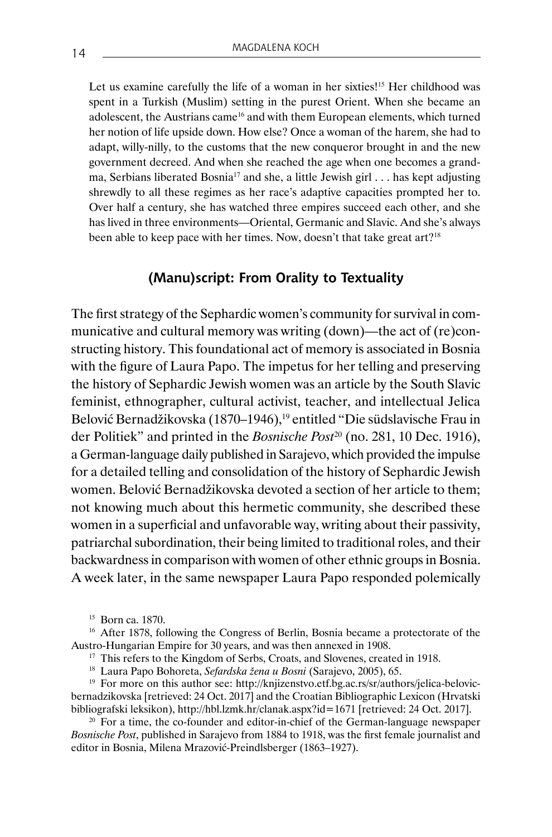Let us examine carefully the life of a woman in her sixties!<sup>15</sup> Her childhood was spent in a Turkish (Muslim) setting in the purest Orient. When she became an adolescent, the Austrians came<sup>16</sup> and with them European elements, which turned her notion of life upside down. How else? Once a woman of the harem, she had to adapt, willy-nilly, to the customs that the new conqueror brought in and the new government decreed. And when she reached the age when one becomes a grandma, Serbians liberated Bosnia<sup>17</sup> and she, a little Jewish girl  $\dots$  has kept adjusting shrewdly to all these regimes as her race's adaptive capacities prompted her to. Over half a century, she has watched three empires succeed each other, and she has lived in three environments—Oriental, Germanic and Slavic. And she's always been able to keep pace with her times. Now, doesn't that take great art?<sup>18</sup>

#### **(Manu)script: From Orality to Textuality**

The first strategy of the Sephardic women's community for survival in communicative and cultural memory was writing (down)—the act of (re)constructing history. This foundational act of memory is associated in Bosnia with the figure of Laura Papo. The impetus for her telling and preserving the history of Sephardic Jewish women was an article by the South Slavic feminist, ethnographer, cultural activist, teacher, and intellectual Jelica Belović Bernadžikovska (1870–1946),<sup>19</sup> entitled "Die südslavische Frau in der Politiek" and printed in the *Bosnische Post*20 (no. 281, 10 Dec. 1916), a German-language daily published in Sarajevo, which provided the impulse for a detailed telling and consolidation of the history of Sephardic Jewish women. Belović Bernadžikovska devoted a section of her article to them; not knowing much about this hermetic community, she described these women in a superficial and unfavorable way, writing about their passivity, patriarchal subordination, their being limited to traditional roles, and their backwardness in comparison with women of other ethnic groups in Bosnia. A week later, in the same newspaper Laura Papo responded polemically

<sup>15</sup> Born ca. 1870.

<sup>16</sup> After 1878, following the Congress of Berlin, Bosnia became a protectorate of the Austro-Hungarian Empire for 30 years, and was then annexed in 1908.

<sup>17</sup> This refers to the Kingdom of Serbs, Croats, and Slovenes, created in 1918.

<sup>18</sup> Laura Papo Bohoreta, *Sefardska žena u Bosni* (Sarajevo, 2005), 65.

<sup>19</sup> For more on this author see: http://knjizenstvo.etf.bg.ac.rs/sr/authors/jelica-belovicbernadzikovska [retrieved: 24 Oct. 2017] and the Croatian Bibliographic Lexicon (Hrvatski bibliografski leksikon), http://hbl.lzmk.hr/clanak.aspx?id=1671 [retrieved: 24 Oct. 2017].

<sup>20</sup> For a time, the co-founder and editor-in-chief of the German-language newspaper *Bosnische Post*, published in Sarajevo from 1884 to 1918, was the first female journalist and editor in Bosnia, Milena Mrazović-Preindlsberger (1863–1927).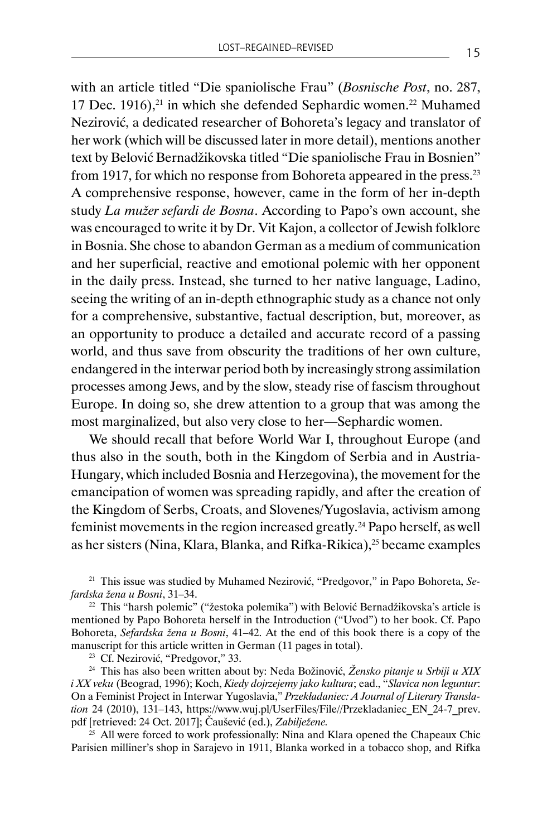with an article titled "Die spaniolische Frau" (*Bosnische Post*, no. 287, 17 Dec. 1916), $21$  in which she defended Sephardic women. $22$  Muhamed Nezirović, a dedicated researcher of Bohoreta's legacy and translator of her work (which will be discussed later in more detail), mentions another text by Belović Bernadžikovska titled "Die spaniolische Frau in Bosnien" from 1917, for which no response from Bohoreta appeared in the press.<sup>23</sup> A comprehensive response, however, came in the form of her in-depth study *La mužer sefardi de Bosna*. According to Papo's own account, she was encouraged to write it by Dr. Vit Kajon, a collector of Jewish folklore in Bosnia. She chose to abandon German as a medium of communication and her superficial, reactive and emotional polemic with her opponent in the daily press. Instead, she turned to her native language, Ladino, seeing the writing of an in-depth ethnographic study as a chance not only for a comprehensive, substantive, factual description, but, moreover, as an opportunity to produce a detailed and accurate record of a passing world, and thus save from obscurity the traditions of her own culture, endangered in the interwar period both by increasingly strong assimilation processes among Jews, and by the slow, steady rise of fascism throughout Europe. In doing so, she drew attention to a group that was among the most marginalized, but also very close to her—Sephardic women.

We should recall that before World War I, throughout Europe (and thus also in the south, both in the Kingdom of Serbia and in Austria-Hungary, which included Bosnia and Herzegovina), the movement for the emancipation of women was spreading rapidly, and after the creation of the Kingdom of Serbs, Croats, and Slovenes/Yugoslavia, activism among feminist movements in the region increased greatly.24 Papo herself, as well as her sisters (Nina, Klara, Blanka, and Rifka-Rikica),<sup>25</sup> became examples

<sup>21</sup> This issue was studied by Muhamed Nezirović, "Predgovor," in Papo Bohoreta, *Sefardska žena u Bosni*, 31–34.

<sup>22</sup> This "harsh polemic" ("žestoka polemika") with Belović Bernadžikovska's article is mentioned by Papo Bohoreta herself in the Introduction ("Uvod") to her book. Cf. Papo Bohoreta, *Sefardska žena u Bosni*, 41–42. At the end of this book there is a copy of the manuscript for this article written in German (11 pages in total).

<sup>23</sup> Cf. Nezirović, "Predgovor," 33.

<sup>24</sup> This has also been written about by: Neda Božinović, *Žensko pitanje u Srbiji u XIX i XX veku* (Beograd, 1996); Koch, *Kiedy dojrzejemy jako kultura*; ead., "*Slavica non leguntur*: On a Feminist Project in Interwar Yugoslavia," *Przekładaniec: A Journal of Literary Translation* 24 (2010), 131–143, https://www.wuj.pl/UserFiles/File//Przekladaniec\_EN\_24-7\_prev. pdf [retrieved: 24 Oct. 2017]; Čaušević (ed.), *Zabilježene.*

 $25$  All were forced to work professionally: Nina and Klara opened the Chapeaux Chic Parisien milliner's shop in Sarajevo in 1911, Blanka worked in a tobacco shop, and Rifka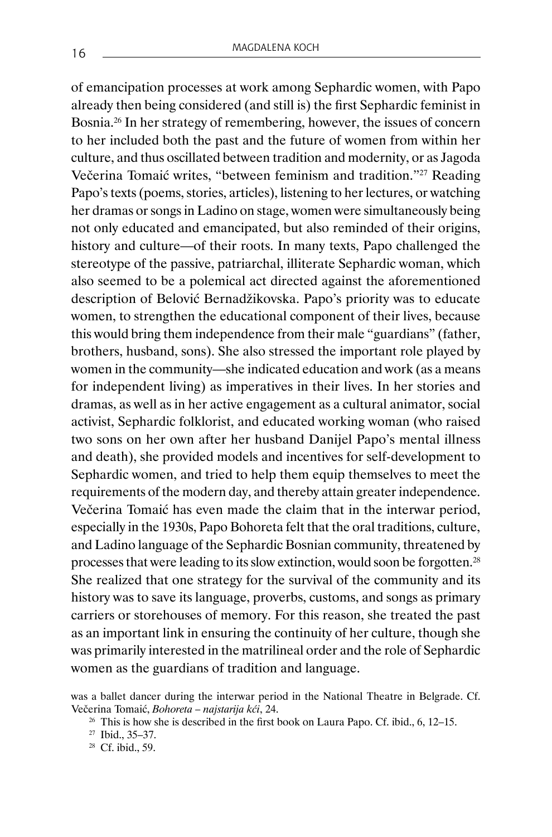of emancipation processes at work among Sephardic women, with Papo already then being considered (and still is) the first Sephardic feminist in Bosnia.26 In her strategy of remembering, however, the issues of concern to her included both the past and the future of women from within her culture, and thus oscillated between tradition and modernity, or as Jagoda Večerina Tomaić writes, "between feminism and tradition."27 Reading Papo's texts (poems, stories, articles), listening to her lectures, or watching her dramas or songs in Ladino on stage, women were simultaneously being not only educated and emancipated, but also reminded of their origins, history and culture—of their roots. In many texts, Papo challenged the stereotype of the passive, patriarchal, illiterate Sephardic woman, which also seemed to be a polemical act directed against the aforementioned description of Belović Bernadžikovska. Papo's priority was to educate women, to strengthen the educational component of their lives, because this would bring them independence from their male "guardians" (father, brothers, husband, sons). She also stressed the important role played by women in the community—she indicated education and work (as a means for independent living) as imperatives in their lives. In her stories and dramas, as well as in her active engagement as a cultural animator, social activist, Sephardic folklorist, and educated working woman (who raised two sons on her own after her husband Danijel Papo's mental illness and death), she provided models and incentives for self-development to Sephardic women, and tried to help them equip themselves to meet the requirements of the modern day, and thereby attain greater independence. Večerina Tomaić has even made the claim that in the interwar period, especially in the 1930s, Papo Bohoreta felt that the oral traditions, culture, and Ladino language of the Sephardic Bosnian community, threatened by processes that were leading to its slow extinction, would soon be forgotten.<sup>28</sup> She realized that one strategy for the survival of the community and its history was to save its language, proverbs, customs, and songs as primary carriers or storehouses of memory. For this reason, she treated the past as an important link in ensuring the continuity of her culture, though she was primarily interested in the matrilineal order and the role of Sephardic women as the guardians of tradition and language.

was a ballet dancer during the interwar period in the National Theatre in Belgrade. Cf. Večerina Tomaić, *Bohoreta – najstarija kći*, 24.

<sup>&</sup>lt;sup>26</sup> This is how she is described in the first book on Laura Papo. Cf. ibid., 6, 12-15.

<sup>27</sup> Ibid., 35–37.

<sup>28</sup> Cf. ibid., 59.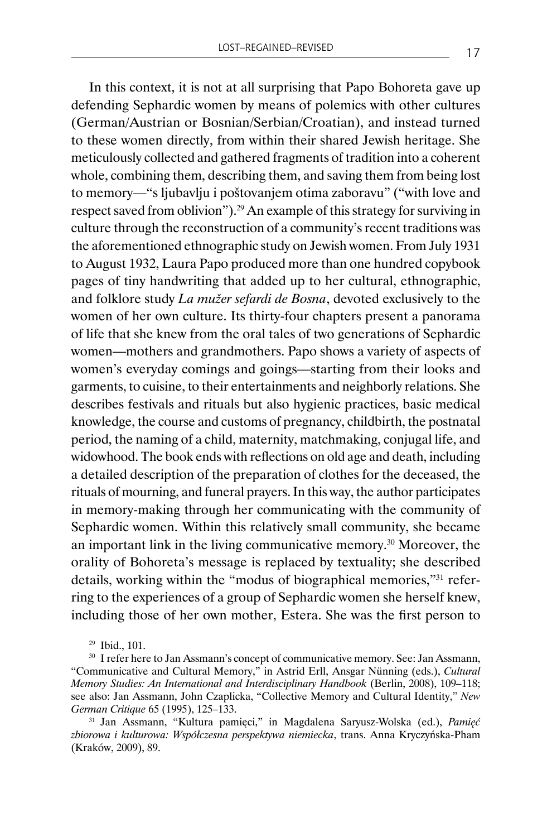In this context, it is not at all surprising that Papo Bohoreta gave up defending Sephardic women by means of polemics with other cultures (German/Austrian or Bosnian/Serbian/Croatian), and instead turned to these women directly, from within their shared Jewish heritage. She meticulously collected and gathered fragments of tradition into a coherent whole, combining them, describing them, and saving them from being lost to memory—"s ljubavlju i poštovanjem otima zaboravu" ("with love and respect saved from oblivion").29 An example of this strategy for surviving in culture through the reconstruction of a community's recent traditions was the aforementioned ethnographic study on Jewish women. From July 1931 to August 1932, Laura Papo produced more than one hundred copybook pages of tiny handwriting that added up to her cultural, ethnographic, and folklore study *La mužer sefardi de Bosna*, devoted exclusively to the women of her own culture. Its thirty-four chapters present a panorama of life that she knew from the oral tales of two generations of Sephardic women—mothers and grandmothers. Papo shows a variety of aspects of women's everyday comings and goings—starting from their looks and garments, to cuisine, to their entertainments and neighborly relations. She describes festivals and rituals but also hygienic practices, basic medical knowledge, the course and customs of pregnancy, childbirth, the postnatal period, the naming of a child, maternity, matchmaking, conjugal life, and widowhood. The book ends with reflections on old age and death, including a detailed description of the preparation of clothes for the deceased, the rituals of mourning, and funeral prayers. In this way, the author participates in memory-making through her communicating with the community of Sephardic women. Within this relatively small community, she became an important link in the living communicative memory.30 Moreover, the orality of Bohoreta's message is replaced by textuality; she described details, working within the "modus of biographical memories,"31 referring to the experiences of a group of Sephardic women she herself knew, including those of her own mother, Estera. She was the first person to

<sup>29</sup> Ibid., 101.

<sup>&</sup>lt;sup>30</sup> I refer here to Jan Assmann's concept of communicative memory. See: Jan Assmann, "Communicative and Cultural Memory," in Astrid Erll, Ansgar Nünning (eds.), *Cultural Memory Studies: An International and Interdisciplinary Handbook* (Berlin, 2008), 109–118; see also: Jan Assmann, John Czaplicka, "Collective Memory and Cultural Identity," *New German Critique* 65 (1995), 125–133.

<sup>31</sup> Jan Assmann, "Kultura pamięci," in Magdalena Saryusz-Wolska (ed.), *Pamięć zbiorowa i kulturowa: Współczesna perspektywa niemiecka*, trans. Anna Kryczyńska-Pham (Kraków, 2009), 89.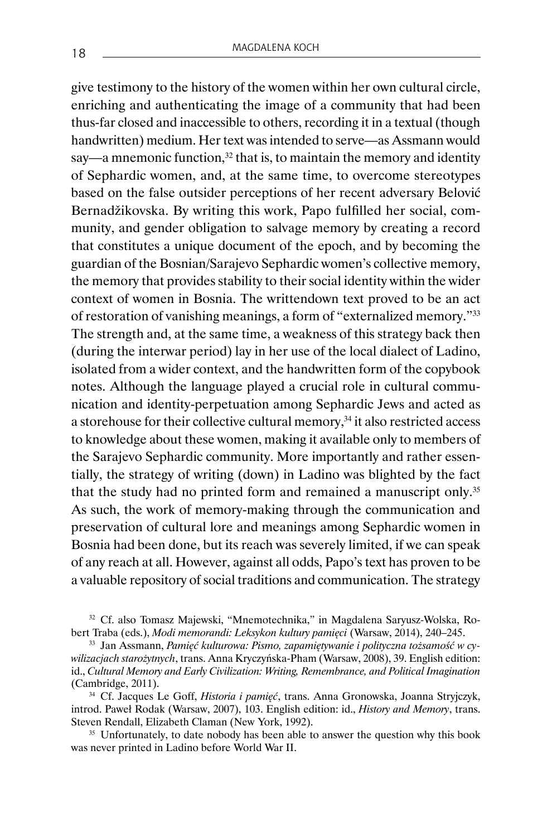give testimony to the history of the women within her own cultural circle, enriching and authenticating the image of a community that had been thus-far closed and inaccessible to others, recording it in a textual (though handwritten) medium. Her text was intended to serve—as Assmann would say—a mnemonic function, $32$  that is, to maintain the memory and identity of Sephardic women, and, at the same time, to overcome stereotypes based on the false outsider perceptions of her recent adversary Belović Bernadžikovska. By writing this work, Papo fulfilled her social, community, and gender obligation to salvage memory by creating a record that constitutes a unique document of the epoch, and by becoming the guardian of the Bosnian/Sarajevo Sephardic women's collective memory, the memory that provides stability to their social identity within the wider context of women in Bosnia. The writtendown text proved to be an act of restoration of vanishing meanings, a form of "externalized memory."<sup>33</sup> The strength and, at the same time, a weakness of this strategy back then (during the interwar period) lay in her use of the local dialect of Ladino, isolated from a wider context, and the handwritten form of the copybook notes. Although the language played a crucial role in cultural communication and identity-perpetuation among Sephardic Jews and acted as a storehouse for their collective cultural memory, $34$  it also restricted access to knowledge about these women, making it available only to members of the Sarajevo Sephardic community. More importantly and rather essentially, the strategy of writing (down) in Ladino was blighted by the fact that the study had no printed form and remained a manuscript only.<sup>35</sup> As such, the work of memory-making through the communication and preservation of cultural lore and meanings among Sephardic women in Bosnia had been done, but its reach was severely limited, if we can speak of any reach at all. However, against all odds, Papo's text has proven to be a valuable repository of social traditions and communication. The strategy

<sup>32</sup> Cf. also Tomasz Majewski, "Mnemotechnika," in Magdalena Saryusz-Wolska, Robert Traba (eds.), *Modi memorandi: Leksykon kultury pamięci* (Warsaw, 2014), 240–245.

<sup>33</sup> Jan Assmann, *Pamięć kulturowa: Pismo, zapamiętywanie i polityczna tożsamość w cywilizacjach starożytnych*, trans. Anna Kryczyńska-Pham (Warsaw, 2008), 39. English edition: id., *Cultural Memory and Early Civilization: Writing, Remembrance, and Political Imagination* (Cambridge, 2011).

<sup>34</sup> Cf. Jacques Le Goff, *Historia i pamięć*, trans. Anna Gronowska, Joanna Stryjczyk, introd. Paweł Rodak (Warsaw, 2007), 103. English edition: id., *History and Memory*, trans. Steven Rendall, Elizabeth Claman (New York, 1992).

<sup>35</sup> Unfortunately, to date nobody has been able to answer the question why this book was never printed in Ladino before World War II.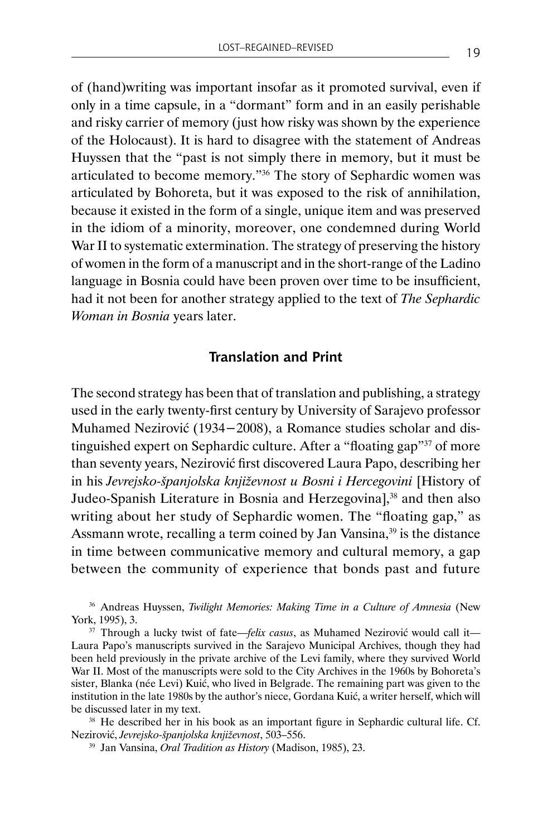of (hand)writing was important insofar as it promoted survival, even if only in a time capsule, in a "dormant" form and in an easily perishable and risky carrier of memory (just how risky was shown by the experience of the Holocaust). It is hard to disagree with the statement of Andreas Huyssen that the "past is not simply there in memory, but it must be articulated to become memory."36 The story of Sephardic women was articulated by Bohoreta, but it was exposed to the risk of annihilation, because it existed in the form of a single, unique item and was preserved in the idiom of a minority, moreover, one condemned during World War II to systematic extermination. The strategy of preserving the history of women in the form of a manuscript and in the short-range of the Ladino language in Bosnia could have been proven over time to be insufficient, had it not been for another strategy applied to the text of *The Sephardic Woman in Bosnia* years later.

#### **Translation and Print**

The second strategy has been that of translation and publishing, a strategy used in the early twenty-first century by University of Sarajevo professor Muhamed Nezirović (1934−2008), a Romance studies scholar and distinguished expert on Sephardic culture. After a "floating gap"<sup>37</sup> of more than seventy years, Nezirović first discovered Laura Papo, describing her in his *Jevrejsko-španjolska književnost u Bosni i Hercegovini* [History of Judeo-Spanish Literature in Bosnia and Herzegovina],<sup>38</sup> and then also writing about her study of Sephardic women. The "floating gap," as Assmann wrote, recalling a term coined by Jan Vansina,<sup>39</sup> is the distance in time between communicative memory and cultural memory, a gap between the community of experience that bonds past and future

<sup>36</sup> Andreas Huyssen, *Twilight Memories: Making Time in a Culture of Amnesia* (New York, 1995), 3.

<sup>37</sup> Through a lucky twist of fate—*felix casus*, as Muhamed Nezirović would call it— Laura Papo's manuscripts survived in the Sarajevo Municipal Archives, though they had been held previously in the private archive of the Levi family, where they survived World War II. Most of the manuscripts were sold to the City Archives in the 1960s by Bohoreta's sister, Blanka (née Levi) Kuić, who lived in Belgrade. The remaining part was given to the institution in the late 1980s by the author's niece, Gordana Kuić, a writer herself, which will be discussed later in my text.

<sup>38</sup> He described her in his book as an important figure in Sephardic cultural life. Cf. Nezirović, *Jevrejsko-španjolska književnost*, 503–556.

<sup>39</sup> Jan Vansina, *Oral Tradition as History* (Madison, 1985), 23.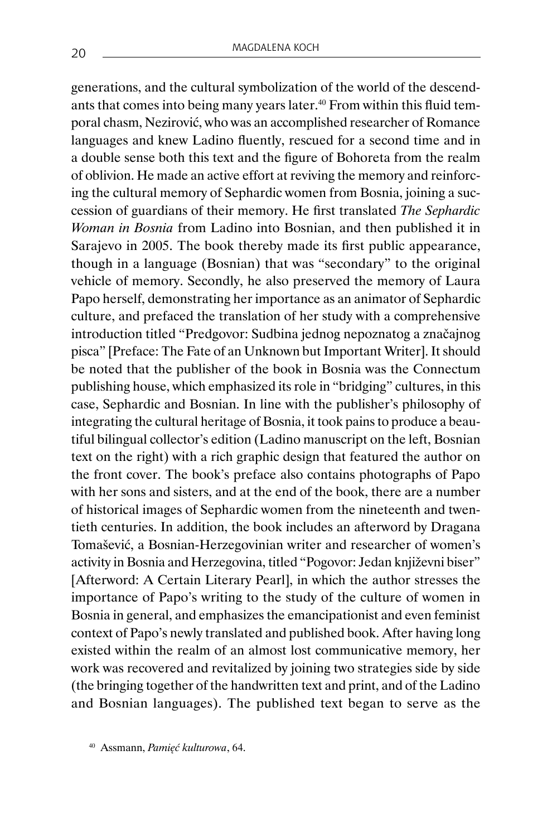generations, and the cultural symbolization of the world of the descendants that comes into being many years later.<sup>40</sup> From within this fluid temporal chasm, Nezirović, who was an accomplished researcher of Romance languages and knew Ladino fluently, rescued for a second time and in a double sense both this text and the figure of Bohoreta from the realm of oblivion. He made an active effort at reviving the memory and reinforcing the cultural memory of Sephardic women from Bosnia, joining a succession of guardians of their memory. He first translated *The Sephardic Woman in Bosnia* from Ladino into Bosnian, and then published it in Sarajevo in 2005. The book thereby made its first public appearance, though in a language (Bosnian) that was "secondary" to the original vehicle of memory. Secondly, he also preserved the memory of Laura Papo herself, demonstrating her importance as an animator of Sephardic culture, and prefaced the translation of her study with a comprehensive introduction titled "Predgovor: Sudbina jednog nepoznatog a značajnog pisca" [Preface: The Fate of an Unknown but Important Writer]. It should be noted that the publisher of the book in Bosnia was the Connectum publishing house, which emphasized its role in "bridging" cultures, in this case, Sephardic and Bosnian. In line with the publisher's philosophy of integrating the cultural heritage of Bosnia, it took pains to produce a beautiful bilingual collector's edition (Ladino manuscript on the left, Bosnian text on the right) with a rich graphic design that featured the author on the front cover. The book's preface also contains photographs of Papo with her sons and sisters, and at the end of the book, there are a number of historical images of Sephardic women from the nineteenth and twentieth centuries. In addition, the book includes an afterword by Dragana Tomašević, a Bosnian-Herzegovinian writer and researcher of women's activity in Bosnia and Herzegovina, titled "Pogovor: Jedan književni biser" [Afterword: A Certain Literary Pearl], in which the author stresses the importance of Papo's writing to the study of the culture of women in Bosnia in general, and emphasizes the emancipationist and even feminist context of Papo's newly translated and published book. After having long existed within the realm of an almost lost communicative memory, her work was recovered and revitalized by joining two strategies side by side (the bringing together of the handwritten text and print, and of the Ladino and Bosnian languages). The published text began to serve as the

<sup>40</sup> Assmann, *Pamięć kulturowa*, 64.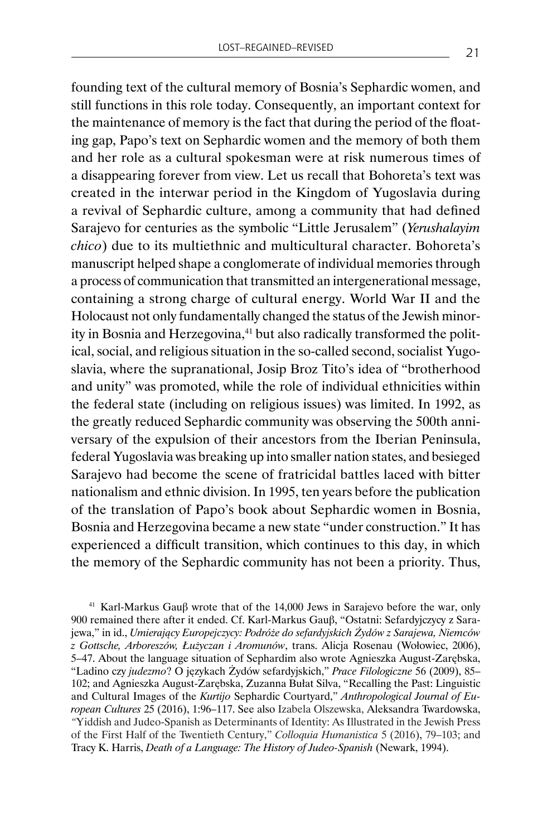founding text of the cultural memory of Bosnia's Sephardic women, and still functions in this role today. Consequently, an important context for the maintenance of memory is the fact that during the period of the floating gap, Papo's text on Sephardic women and the memory of both them and her role as a cultural spokesman were at risk numerous times of a disappearing forever from view. Let us recall that Bohoreta's text was created in the interwar period in the Kingdom of Yugoslavia during a revival of Sephardic culture, among a community that had defined Sarajevo for centuries as the symbolic "Little Jerusalem" (*Yerushalayim chico*) due to its multiethnic and multicultural character. Bohoreta's manuscript helped shape a conglomerate of individual memories through a process of communication that transmitted an intergenerational message, containing a strong charge of cultural energy. World War II and the Holocaust not only fundamentally changed the status of the Jewish minority in Bosnia and Herzegovina,<sup>41</sup> but also radically transformed the political, social, and religious situation in the so-called second, socialist Yugoslavia, where the supranational, Josip Broz Tito's idea of "brotherhood and unity" was promoted, while the role of individual ethnicities within the federal state (including on religious issues) was limited. In 1992, as the greatly reduced Sephardic community was observing the 500th anniversary of the expulsion of their ancestors from the Iberian Peninsula, federal Yugoslavia was breaking up into smaller nation states, and besieged Sarajevo had become the scene of fratricidal battles laced with bitter nationalism and ethnic division. In 1995, ten years before the publication of the translation of Papo's book about Sephardic women in Bosnia, Bosnia and Herzegovina became a new state "under construction." It has experienced a difficult transition, which continues to this day, in which the memory of the Sephardic community has not been a priority. Thus,

<sup>41</sup> Karl-Markus Gauβ wrote that of the 14,000 Jews in Sarajevo before the war, only 900 remained there after it ended. Cf. Karl-Markus Gauβ, "Ostatni: Sefardyjczycy z Sarajewa," in id., *Umierający Europejczycy: Podróże do sefardyjskich Żydów z Sarajewa, Niemców z Gottsche, Arboreszów, Łużyczan i Aromunów*, trans. Alicja Rosenau (Wołowiec, 2006), 5–47. About the language situation of Sephardim also wrote Agnieszka August-Zarębska, "Ladino czy *judezmo*? O językach Żydów sefardyjskich," *Prace Filologiczne* 56 (2009), 85– 102; and Agnieszka August-Zarębska, Zuzanna Bułat Silva, "Recalling the Past: Linguistic and Cultural Images of the *Kurtijo* Sephardic Courtyard," *Anthropological Journal of European Cultures* 25 (2016), 1:96–117. See also Izabela Olszewska, Aleksandra Twardowska, *"*Yiddish and Judeo-Spanish as Determinants of Identity: As Illustrated in the Jewish Press of the First Half of the Twentieth Century," *Colloquia Humanistica* 5 (2016), 79–103; and Tracy K. Harris, *Death of a Language: The History of Judeo-Spanish* (Newark, 1994).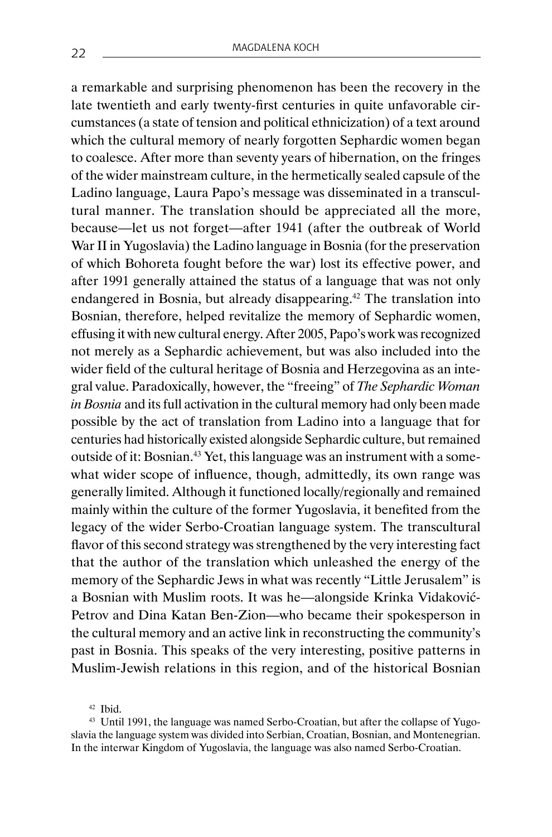a remarkable and surprising phenomenon has been the recovery in the late twentieth and early twenty-first centuries in quite unfavorable circumstances (a state of tension and political ethnicization) of a text around which the cultural memory of nearly forgotten Sephardic women began to coalesce. After more than seventy years of hibernation, on the fringes of the wider mainstream culture, in the hermetically sealed capsule of the Ladino language, Laura Papo's message was disseminated in a transcultural manner. The translation should be appreciated all the more, because—let us not forget—after 1941 (after the outbreak of World War II in Yugoslavia) the Ladino language in Bosnia (for the preservation of which Bohoreta fought before the war) lost its effective power, and after 1991 generally attained the status of a language that was not only endangered in Bosnia, but already disappearing.42 The translation into Bosnian, therefore, helped revitalize the memory of Sephardic women, effusing it with new cultural energy. After 2005, Papo's work was recognized not merely as a Sephardic achievement, but was also included into the wider field of the cultural heritage of Bosnia and Herzegovina as an integral value. Paradoxically, however, the "freeing" of *The Sephardic Woman in Bosnia* and its full activation in the cultural memory had only been made possible by the act of translation from Ladino into a language that for centuries had historically existed alongside Sephardic culture, but remained outside of it: Bosnian.<sup>43</sup> Yet, this language was an instrument with a somewhat wider scope of influence, though, admittedly, its own range was generally limited. Although it functioned locally/regionally and remained mainly within the culture of the former Yugoslavia, it benefited from the legacy of the wider Serbo-Croatian language system. The transcultural flavor of this second strategy was strengthened by the very interesting fact that the author of the translation which unleashed the energy of the memory of the Sephardic Jews in what was recently "Little Jerusalem" is a Bosnian with Muslim roots. It was he—alongside Krinka Vidaković-Petrov and Dina Katan Ben-Zion—who became their spokesperson in the cultural memory and an active link in reconstructing the community's past in Bosnia. This speaks of the very interesting, positive patterns in Muslim-Jewish relations in this region, and of the historical Bosnian

<sup>42</sup> Ibid.

<sup>43</sup> Until 1991, the language was named Serbo-Croatian, but after the collapse of Yugoslavia the language system was divided into Serbian, Croatian, Bosnian, and Montenegrian. In the interwar Kingdom of Yugoslavia, the language was also named Serbo-Croatian.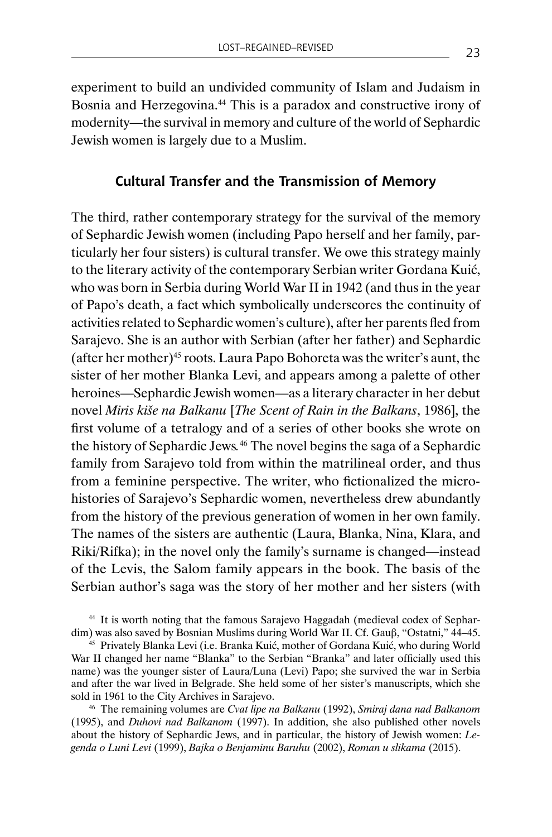experiment to build an undivided community of Islam and Judaism in Bosnia and Herzegovina.<sup>44</sup> This is a paradox and constructive irony of modernity—the survival in memory and culture of the world of Sephardic Jewish women is largely due to a Muslim.

### **Cultural Transfer and the Transmission of Memory**

The third, rather contemporary strategy for the survival of the memory of Sephardic Jewish women (including Papo herself and her family, particularly her four sisters) is cultural transfer. We owe this strategy mainly to the literary activity of the contemporary Serbian writer Gordana Kuić, who was born in Serbia during World War II in 1942 (and thus in the year of Papo's death, a fact which symbolically underscores the continuity of activities related to Sephardic women's culture), after her parents fled from Sarajevo. She is an author with Serbian (after her father) and Sephardic (after her mother)45 roots. Laura Papo Bohoreta was the writer's aunt, the sister of her mother Blanka Levi, and appears among a palette of other heroines—Sephardic Jewish women—as a literary character in her debut novel *Miris kiše na Balkanu* [*The Scent of Rain in the Balkans*, 1986], the first volume of a tetralogy and of a series of other books she wrote on the history of Sephardic Jews*.* <sup>46</sup> The novel begins the saga of a Sephardic family from Sarajevo told from within the matrilineal order, and thus from a feminine perspective. The writer, who fictionalized the microhistories of Sarajevo's Sephardic women, nevertheless drew abundantly from the history of the previous generation of women in her own family. The names of the sisters are authentic (Laura, Blanka, Nina, Klara, and Riki/Rifka); in the novel only the family's surname is changed—instead of the Levis, the Salom family appears in the book. The basis of the Serbian author's saga was the story of her mother and her sisters (with

<sup>44</sup> It is worth noting that the famous Sarajevo Haggadah (medieval codex of Sephardim) was also saved by Bosnian Muslims during World War II. Cf. Gauβ, "Ostatni," 44–45.

<sup>45</sup> Privately Blanka Levi (i.e. Branka Kuić, mother of Gordana Kuić, who during World War II changed her name "Blanka" to the Serbian "Branka" and later officially used this name) was the younger sister of Laura/Luna (Levi) Papo; she survived the war in Serbia and after the war lived in Belgrade. She held some of her sister's manuscripts, which she sold in 1961 to the City Archives in Sarajevo.

<sup>46</sup> The remaining volumes are *Cvat lipe na Balkanu* (1992), *Smiraj dana nad Balkanom*  (1995), and *Duhovi nad Balkanom* (1997). In addition, she also published other novels about the history of Sephardic Jews, and in particular, the history of Jewish women: *Legenda o Luni Levi* (1999), *Bajka o Benjaminu Baruhu* (2002), *Roman u slikama* (2015).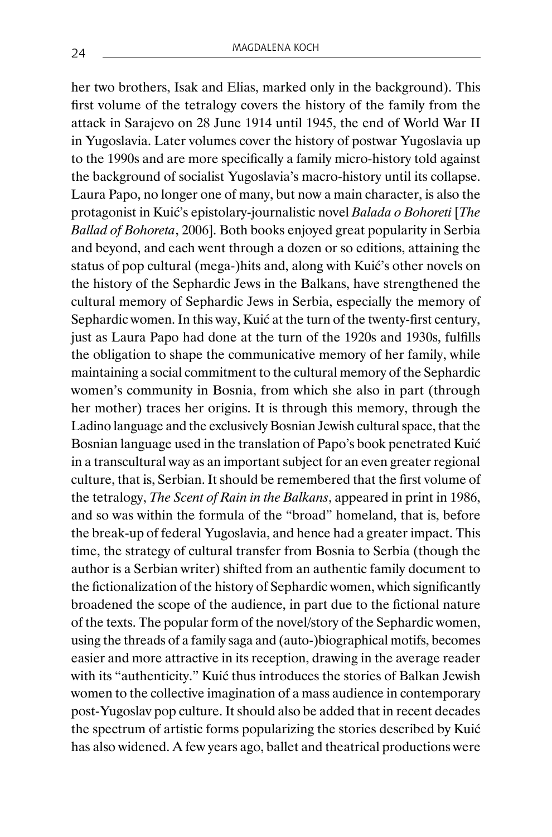her two brothers, Isak and Elias, marked only in the background). This first volume of the tetralogy covers the history of the family from the attack in Sarajevo on 28 June 1914 until 1945, the end of World War II in Yugoslavia. Later volumes cover the history of postwar Yugoslavia up to the 1990s and are more specifically a family micro-history told against the background of socialist Yugoslavia's macro-history until its collapse. Laura Papo, no longer one of many, but now a main character, is also the protagonist in Kuić's epistolary-journalistic novel *Balada o Bohoreti* [*The Ballad of Bohoreta*, 2006]. Both books enjoyed great popularity in Serbia and beyond, and each went through a dozen or so editions, attaining the status of pop cultural (mega-)hits and, along with Kuić's other novels on the history of the Sephardic Jews in the Balkans, have strengthened the cultural memory of Sephardic Jews in Serbia, especially the memory of Sephardic women. In this way, Kuić at the turn of the twenty-first century, just as Laura Papo had done at the turn of the 1920s and 1930s, fulfills the obligation to shape the communicative memory of her family, while maintaining a social commitment to the cultural memory of the Sephardic women's community in Bosnia, from which she also in part (through her mother) traces her origins. It is through this memory, through the Ladino language and the exclusively Bosnian Jewish cultural space, that the Bosnian language used in the translation of Papo's book penetrated Kuić in a transcultural way as an important subject for an even greater regional culture, that is, Serbian. It should be remembered that the first volume of the tetralogy, *The Scent of Rain in the Balkans*, appeared in print in 1986, and so was within the formula of the "broad" homeland, that is, before the break-up of federal Yugoslavia, and hence had a greater impact. This time, the strategy of cultural transfer from Bosnia to Serbia (though the author is a Serbian writer) shifted from an authentic family document to the fictionalization of the history of Sephardic women, which significantly broadened the scope of the audience, in part due to the fictional nature of the texts. The popular form of the novel/story of the Sephardic women, using the threads of a family saga and (auto-)biographical motifs, becomes easier and more attractive in its reception, drawing in the average reader with its "authenticity." Kuić thus introduces the stories of Balkan Jewish women to the collective imagination of a mass audience in contemporary post-Yugoslav pop culture. It should also be added that in recent decades the spectrum of artistic forms popularizing the stories described by Kuić has also widened. A few years ago, ballet and theatrical productions were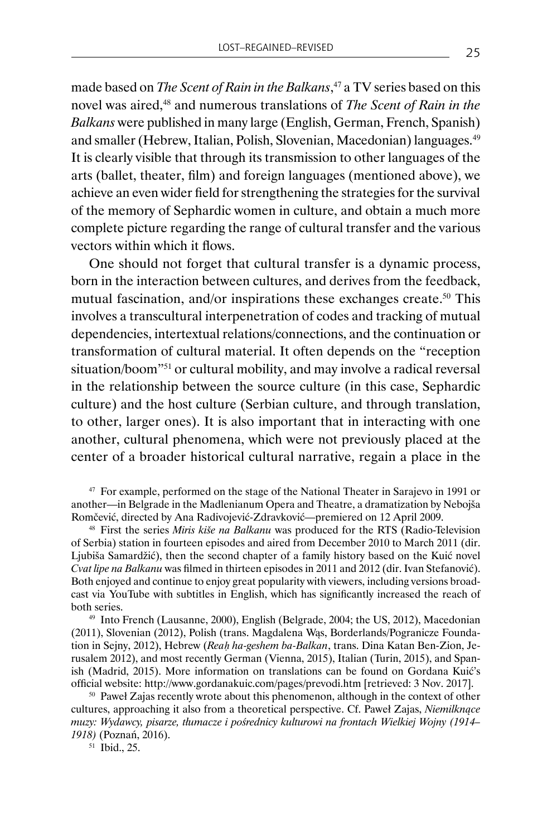made based on *The Scent of Rain in the Balkans*, <sup>47</sup> a TV series based on this novel was aired,<sup>48</sup> and numerous translations of *The Scent of Rain in the Balkans* were published in many large (English, German, French, Spanish) and smaller (Hebrew, Italian, Polish, Slovenian, Macedonian) languages.<sup>49</sup> It is clearly visible that through its transmission to other languages of the arts (ballet, theater, film) and foreign languages (mentioned above), we achieve an even wider field for strengthening the strategies for the survival of the memory of Sephardic women in culture, and obtain a much more complete picture regarding the range of cultural transfer and the various vectors within which it flows.

One should not forget that cultural transfer is a dynamic process, born in the interaction between cultures, and derives from the feedback, mutual fascination, and/or inspirations these exchanges create.50 This involves a transcultural interpenetration of codes and tracking of mutual dependencies, intertextual relations/connections, and the continuation or transformation of cultural material. It often depends on the "reception situation/boom"51 or cultural mobility, and may involve a radical reversal in the relationship between the source culture (in this case, Sephardic culture) and the host culture (Serbian culture, and through translation, to other, larger ones). It is also important that in interacting with one another, cultural phenomena, which were not previously placed at the center of a broader historical cultural narrative, regain a place in the

<sup>47</sup> For example, performed on the stage of the National Theater in Sarajevo in 1991 or another—in Belgrade in the Madlenianum Opera and Theatre, a dramatization by Nebojša Romčević, directed by Ana Radivojević-Zdravković—premiered on 12 April 2009.

<sup>48</sup> First the series *Miris kiše na Balkanu* was produced for the RTS (Radio-Television of Serbia) station in fourteen episodes and aired from December 2010 to March 2011 (dir. Ljubiša Samardžić), then the second chapter of a family history based on the Kuić novel *Cvat lipe na Balkanu* was filmed in thirteen episodes in 2011 and 2012 (dir. Ivan Stefanović). Both enjoyed and continue to enjoy great popularity with viewers, including versions broadcast via YouTube with subtitles in English, which has significantly increased the reach of both series.

<sup>49</sup> Into French (Lausanne, 2000), English (Belgrade, 2004; the US, 2012), Macedonian (2011), Slovenian (2012), Polish (trans. Magdalena Wąs, Borderlands/Pogranicze Foundation in Sejny, 2012), Hebrew (*Reaḥ ha-geshem ba-Balkan*, trans. Dina Katan Ben-Zion, Jerusalem 2012), and most recently German (Vienna, 2015), Italian (Turin, 2015), and Spanish (Madrid, 2015). More information on translations can be found on Gordana Kuić's official website: http://www.gordanakuic.com/pages/prevodi.htm [retrieved: 3 Nov. 2017].

<sup>50</sup> Paweł Zajas recently wrote about this phenomenon, although in the context of other cultures, approaching it also from a theoretical perspective. Cf. Paweł Zajas, *Niemilknące muzy: Wydawcy, pisarze, tłumacze i pośrednicy kulturowi na frontach Wielkiej Wojny (1914– 1918)* (Poznań, 2016).

 $51$  Ibid., 25.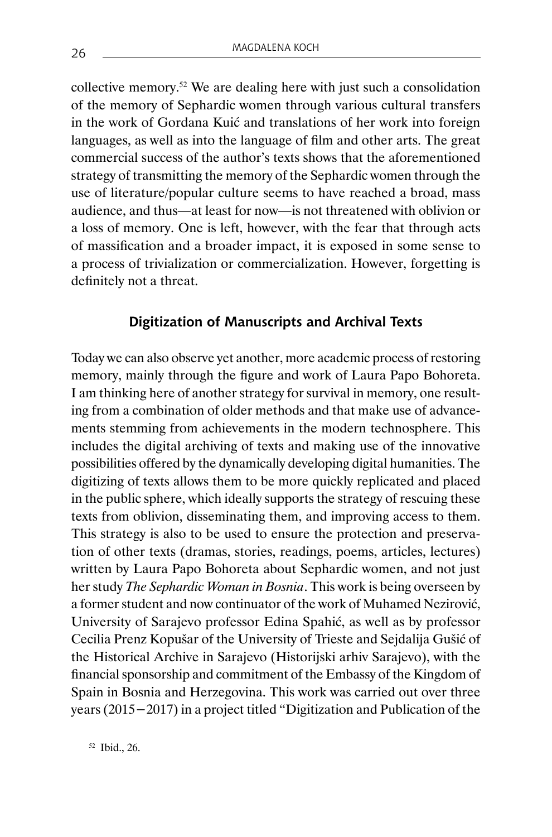collective memory.52 We are dealing here with just such a consolidation of the memory of Sephardic women through various cultural transfers in the work of Gordana Kuić and translations of her work into foreign languages, as well as into the language of film and other arts. The great commercial success of the author's texts shows that the aforementioned strategy of transmitting the memory of the Sephardic women through the use of literature/popular culture seems to have reached a broad, mass audience, and thus—at least for now—is not threatened with oblivion or a loss of memory. One is left, however, with the fear that through acts of massification and a broader impact, it is exposed in some sense to a process of trivialization or commercialization. However, forgetting is definitely not a threat.

## **Digitization of Manuscripts and Archival Texts**

Today we can also observe yet another, more academic process of restoring memory, mainly through the figure and work of Laura Papo Bohoreta. I am thinking here of another strategy for survival in memory, one resulting from a combination of older methods and that make use of advancements stemming from achievements in the modern technosphere. This includes the digital archiving of texts and making use of the innovative possibilities offered by the dynamically developing digital humanities. The digitizing of texts allows them to be more quickly replicated and placed in the public sphere, which ideally supports the strategy of rescuing these texts from oblivion, disseminating them, and improving access to them. This strategy is also to be used to ensure the protection and preservation of other texts (dramas, stories, readings, poems, articles, lectures) written by Laura Papo Bohoreta about Sephardic women, and not just her study *The Sephardic Woman in Bosnia*. This work is being overseen by a former student and now continuator of the work of Muhamed Nezirović, University of Sarajevo professor Edina Spahić, as well as by professor Cecilia Prenz Kopušar of the University of Trieste and Sejdalija Gušić of the Historical Archive in Sarajevo (Historijski arhiv Sarajevo), with the financial sponsorship and commitment of the Embassy of the Kingdom of Spain in Bosnia and Herzegovina. This work was carried out over three years (2015−2017) in a project titled "Digitization and Publication of the

<sup>52</sup> Ibid., 26.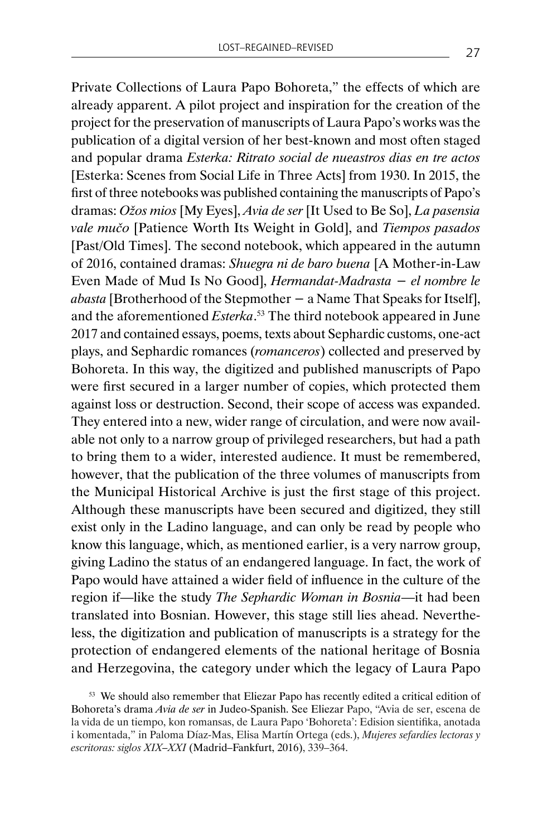Private Collections of Laura Papo Bohoreta," the effects of which are already apparent. A pilot project and inspiration for the creation of the project for the preservation of manuscripts of Laura Papo's works was the publication of a digital version of her best-known and most often staged and popular drama *Esterka: Ritrato social de nueastros dias en tre actos*  [Esterka: Scenes from Social Life in Three Acts] from 1930. In 2015, the first of three notebooks was published containing the manuscripts of Papo's dramas: *Ožos mios* [My Eyes], *Avia de ser* [It Used to Be So], *La pasensia vale mučo* [Patience Worth Its Weight in Gold], and *Tiempos pasados* [Past/Old Times]. The second notebook, which appeared in the autumn of 2016, contained dramas: *Shuegra ni de baro buena* [A Mother-in-Law Even Made of Mud Is No Good], *Hermandat-Madrasta − el nombre le abasta* [Brotherhood of the Stepmother − a Name That Speaks for Itself], and the aforementioned *Esterka*. <sup>53</sup> The third notebook appeared in June 2017 and contained essays, poems, texts about Sephardic customs, one-act plays, and Sephardic romances (*romanceros*) collected and preserved by Bohoreta. In this way, the digitized and published manuscripts of Papo were first secured in a larger number of copies, which protected them against loss or destruction. Second, their scope of access was expanded. They entered into a new, wider range of circulation, and were now available not only to a narrow group of privileged researchers, but had a path to bring them to a wider, interested audience. It must be remembered, however, that the publication of the three volumes of manuscripts from the Municipal Historical Archive is just the first stage of this project. Although these manuscripts have been secured and digitized, they still exist only in the Ladino language, and can only be read by people who know this language, which, as mentioned earlier, is a very narrow group, giving Ladino the status of an endangered language. In fact, the work of Papo would have attained a wider field of influence in the culture of the region if—like the study *The Sephardic Woman in Bosnia*—it had been translated into Bosnian. However, this stage still lies ahead. Nevertheless, the digitization and publication of manuscripts is a strategy for the protection of endangered elements of the national heritage of Bosnia and Herzegovina, the category under which the legacy of Laura Papo

<sup>53</sup> We should also remember that Eliezar Papo has recently edited a critical edition of Bohoreta's drama *Avia de ser* in Judeo-Spanish. See Eliezar Papo, "Avia de ser, escena de la vida de un tiempo, kon romansas, de Laura Papo 'Bohoreta': Edision sientifika, anotada i komentada," in Paloma Díaz-Mas, Elisa Martín Ortega (eds.), *Mujeres sefardíes lectoras y escritoras: siglos XIX–XXI* (Madrid–Fankfurt, 2016), 339–364.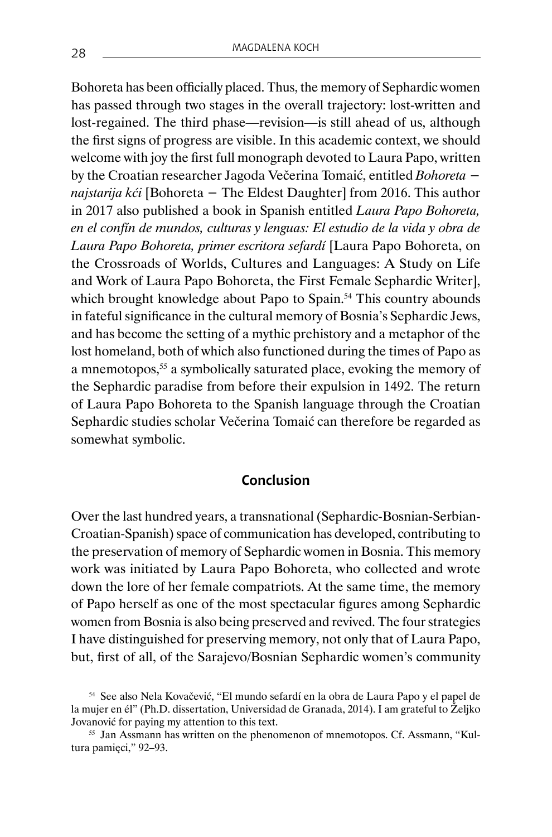Bohoreta has been officially placed. Thus, the memory of Sephardic women has passed through two stages in the overall trajectory: lost-written and lost-regained. The third phase—revision—is still ahead of us, although the first signs of progress are visible. In this academic context, we should welcome with joy the first full monograph devoted to Laura Papo, written by the Croatian researcher Jagoda Večerina Tomaić, entitled *Bohoreta − najstarija kći* [Bohoreta − The Eldest Daughter] from 2016. This author in 2017 also published a book in Spanish entitled *Laura Papo Bohoreta, en el confín de mundos, culturas y lenguas: El estudio de la vida y obra de Laura Papo Bohoreta, primer escritora sefardí* [Laura Papo Bohoreta, on the Crossroads of Worlds, Cultures and Languages: A Study on Life and Work of Laura Papo Bohoreta, the First Female Sephardic Writer], which brought knowledge about Papo to Spain.<sup>54</sup> This country abounds in fateful significance in the cultural memory of Bosnia's Sephardic Jews, and has become the setting of a mythic prehistory and a metaphor of the lost homeland, both of which also functioned during the times of Papo as a mnemotopos,<sup>55</sup> a symbolically saturated place, evoking the memory of the Sephardic paradise from before their expulsion in 1492. The return of Laura Papo Bohoreta to the Spanish language through the Croatian Sephardic studies scholar Večerina Tomaić can therefore be regarded as somewhat symbolic.

### **Conclusion**

Over the last hundred years, a transnational (Sephardic-Bosnian-Serbian-Croatian-Spanish) space of communication has developed, contributing to the preservation of memory of Sephardic women in Bosnia. This memory work was initiated by Laura Papo Bohoreta, who collected and wrote down the lore of her female compatriots. At the same time, the memory of Papo herself as one of the most spectacular figures among Sephardic women from Bosnia is also being preserved and revived. The four strategies I have distinguished for preserving memory, not only that of Laura Papo, but, first of all, of the Sarajevo/Bosnian Sephardic women's community

<sup>54</sup> See also Nela Kovačević, "El mundo sefardí en la obra de Laura Papo y el papel de la mujer en él" (Ph.D. dissertation, Universidad de Granada, 2014). I am grateful to Željko Jovanović for paying my attention to this text.

<sup>55</sup> Jan Assmann has written on the phenomenon of mnemotopos. Cf. Assmann, "Kultura pamięci," 92–93.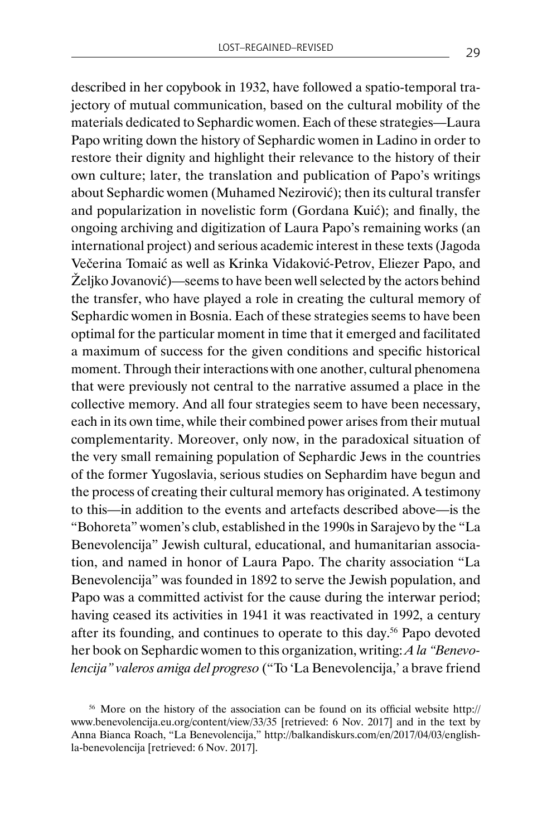described in her copybook in 1932, have followed a spatio-temporal trajectory of mutual communication, based on the cultural mobility of the materials dedicated to Sephardic women. Each of these strategies—Laura Papo writing down the history of Sephardic women in Ladino in order to restore their dignity and highlight their relevance to the history of their own culture; later, the translation and publication of Papo's writings about Sephardic women (Muhamed Nezirović); then its cultural transfer and popularization in novelistic form (Gordana Kuić); and finally, the ongoing archiving and digitization of Laura Papo's remaining works (an international project) and serious academic interest in these texts (Jagoda Večerina Tomaić as well as Krinka Vidaković-Petrov, Eliezer Papo, and Željko Jovanović)—seems to have been well selected by the actors behind the transfer, who have played a role in creating the cultural memory of Sephardic women in Bosnia. Each of these strategies seems to have been optimal for the particular moment in time that it emerged and facilitated a maximum of success for the given conditions and specific historical moment. Through their interactions with one another, cultural phenomena that were previously not central to the narrative assumed a place in the collective memory. And all four strategies seem to have been necessary, each in its own time, while their combined power arises from their mutual complementarity. Moreover, only now, in the paradoxical situation of the very small remaining population of Sephardic Jews in the countries of the former Yugoslavia, serious studies on Sephardim have begun and the process of creating their cultural memory has originated. A testimony to this—in addition to the events and artefacts described above—is the "Bohoreta" women's club, established in the 1990s in Sarajevo by the "La Benevolencija" Jewish cultural, educational, and humanitarian association, and named in honor of Laura Papo. The charity association "La Benevolencija" was founded in 1892 to serve the Jewish population, and Papo was a committed activist for the cause during the interwar period; having ceased its activities in 1941 it was reactivated in 1992, a century after its founding, and continues to operate to this day.56 Papo devoted her book on Sephardic women to this organization, writing: *A la "Benevolencija" valeros amiga del progreso* ("To 'La Benevolencija,' a brave friend

<sup>56</sup> More on the history of the association can be found on its official website http:// www.benevolencija.eu.org/content/view/33/35 [retrieved: 6 Nov. 2017] and in the text by Anna Bianca Roach, "La Benevolencija," http://balkandiskurs.com/en/2017/04/03/englishla-benevolencija [retrieved: 6 Nov. 2017].